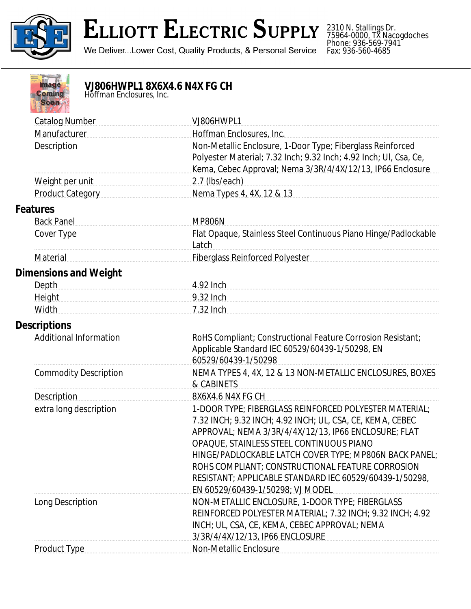

## **ELLIOTT ELECTRIC SUPPLY**

We Deliver...Lower Cost, Quality Products, & Personal Service

2310 N. Stallings Dr. 75964-0000, TX Nacogdoches Phone: 936-569-7941 Fax: 936-560-4685



## **VJ806HWPL1 8X6X4.6 N4X FG CH**

*Hoffman Enclosures, Inc.*

| <b>Catalog Number</b>         | VJ806HWPL1                                                                                                                                                                                                                                                                                                                                                                                                                           |
|-------------------------------|--------------------------------------------------------------------------------------------------------------------------------------------------------------------------------------------------------------------------------------------------------------------------------------------------------------------------------------------------------------------------------------------------------------------------------------|
| Manufacturer<br>Description   | Hoffman Enclosures, Inc.<br>Non-Metallic Enclosure, 1-Door Type; Fiberglass Reinforced<br>Polyester Material; 7.32 Inch; 9.32 Inch; 4.92 Inch; UI, Csa, Ce,                                                                                                                                                                                                                                                                          |
|                               | Kema, Cebec Approval; Nema 3/3R/4/4X/12/13, IP66 Enclosure                                                                                                                                                                                                                                                                                                                                                                           |
| Weight per unit               | 2.7 (lbs/each)                                                                                                                                                                                                                                                                                                                                                                                                                       |
| <b>Product Category</b>       | Nema Types 4, 4X, 12 & 13                                                                                                                                                                                                                                                                                                                                                                                                            |
| <b>Features</b>               |                                                                                                                                                                                                                                                                                                                                                                                                                                      |
| <b>Back Panel</b>             | <b>MP806N</b>                                                                                                                                                                                                                                                                                                                                                                                                                        |
| Cover Type                    | Flat Opaque, Stainless Steel Continuous Piano Hinge/Padlockable<br>Latch                                                                                                                                                                                                                                                                                                                                                             |
| Material                      | Fiberglass Reinforced Polyester                                                                                                                                                                                                                                                                                                                                                                                                      |
| <b>Dimensions and Weight</b>  |                                                                                                                                                                                                                                                                                                                                                                                                                                      |
| <b>Depth</b>                  | 4.92 Inch                                                                                                                                                                                                                                                                                                                                                                                                                            |
| Height                        | 9.32 Inch                                                                                                                                                                                                                                                                                                                                                                                                                            |
| Width                         | 7.32 Inch                                                                                                                                                                                                                                                                                                                                                                                                                            |
| <b>Descriptions</b>           |                                                                                                                                                                                                                                                                                                                                                                                                                                      |
| <b>Additional Information</b> | RoHS Compliant; Constructional Feature Corrosion Resistant;<br>Applicable Standard IEC 60529/60439-1/50298, EN<br>60529/60439-1/50298                                                                                                                                                                                                                                                                                                |
| <b>Commodity Description</b>  | NEMA TYPES 4, 4X, 12 & 13 NON-METALLIC ENCLOSURES, BOXES<br>& CABINETS                                                                                                                                                                                                                                                                                                                                                               |
| <b>Description</b>            | 8X6X4.6 N4X FG CH                                                                                                                                                                                                                                                                                                                                                                                                                    |
| extra long description        | 1-DOOR TYPE; FIBERGLASS REINFORCED POLYESTER MATERIAL;<br>7.32 INCH; 9.32 INCH; 4.92 INCH; UL, CSA, CE, KEMA, CEBEC<br>APPROVAL; NEMA 3/3R/4/4X/12/13, IP66 ENCLOSURE; FLAT<br>OPAQUE, STAINLESS STEEL CONTINUOUS PIANO<br>HINGE/PADLOCKABLE LATCH COVER TYPE; MP806N BACK PANEL;<br>ROHS COMPLIANT; CONSTRUCTIONAL FEATURE CORROSION<br>RESISTANT; APPLICABLE STANDARD IEC 60529/60439-1/50298,<br>EN 60529/60439-1/50298; VJ MODEL |
| Long Description              | NON-METALLIC ENCLOSURE, 1-DOOR TYPE; FIBERGLASS<br>REINFORCED POLYESTER MATERIAL; 7.32 INCH; 9.32 INCH; 4.92<br>INCH; UL, CSA, CE, KEMA, CEBEC APPROVAL; NEMA<br>3/3R/4/4X/12/13, IP66 ENCLOSURE                                                                                                                                                                                                                                     |
| Product Type                  | Non-Metallic Enclosure                                                                                                                                                                                                                                                                                                                                                                                                               |